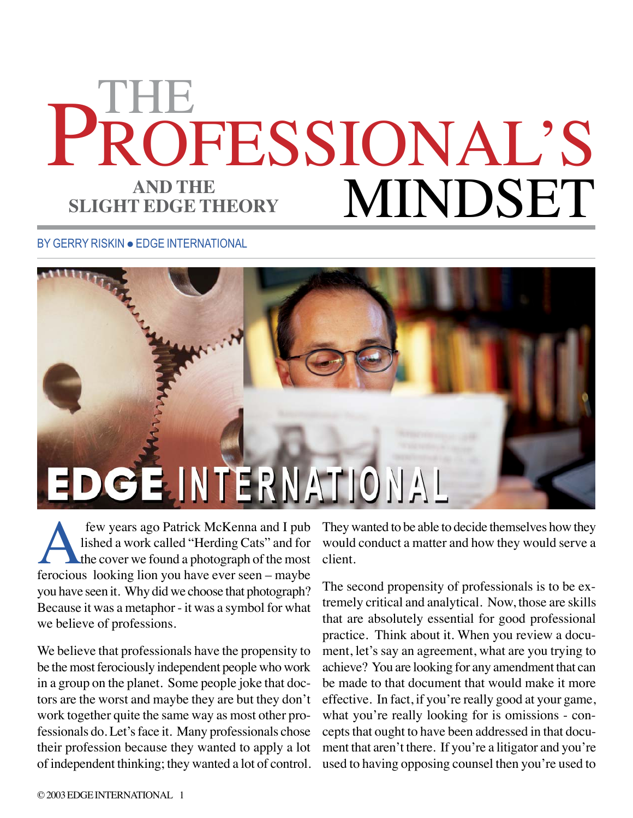## PROFESSIONAL'S MINDSET THE **AND THE SLIGHT EDGE THEORY**

BY GERRY RISKIN . EDGE INTERNATIONAL



few years ago Patrick McKenna and I pub<br>lished a work called "Herding Cats" and for<br>the cover we found a photograph of the most<br>ferocious looking lion you have ever seen – maybe lished a work called "Herding Cats" and for the cover we found a photograph of the most ferocious looking lion you have ever seen – maybe you have seen it. Why did we choose that photograph? Because it was a metaphor - it was a symbol for what we believe of professions.

We believe that professionals have the propensity to be the most ferociously independent people who work in a group on the planet. Some people joke that doctors are the worst and maybe they are but they don't work together quite the same way as most other professionals do. Let's face it. Many professionals chose their profession because they wanted to apply a lot of independent thinking; they wanted a lot of control. They wanted to be able to decide themselves how they would conduct a matter and how they would serve a client.

The second propensity of professionals is to be extremely critical and analytical. Now, those are skills that are absolutely essential for good professional practice. Think about it. When you review a document, let's say an agreement, what are you trying to achieve? You are looking for any amendment that can be made to that document that would make it more effective. In fact, if you're really good at your game, what you're really looking for is omissions - concepts that ought to have been addressed in that document that aren't there. If you're a litigator and you're used to having opposing counsel then you're used to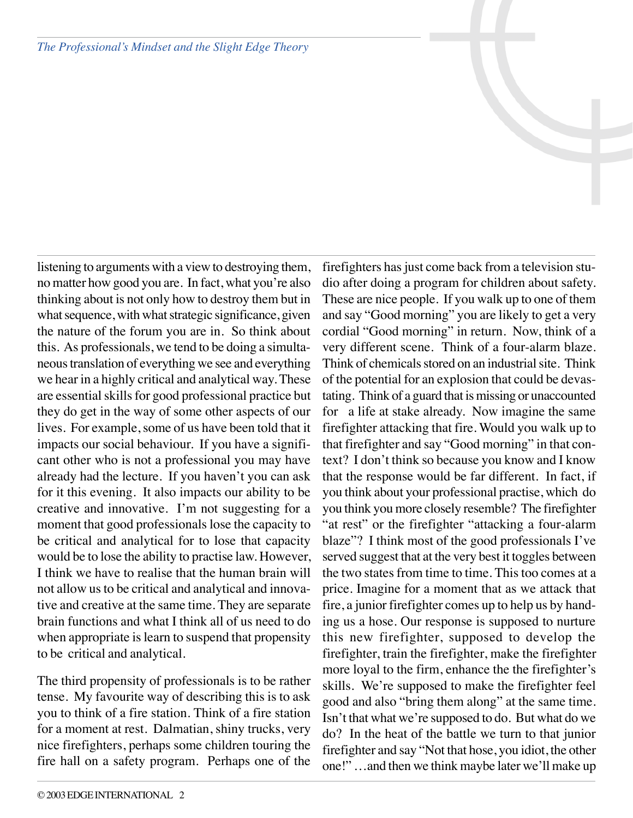*The Professional's Mindset and the Slight Edge Theory*

listening to arguments with a view to destroying them, no matter how good you are. In fact, what you're also thinking about is not only how to destroy them but in what sequence, with what strategic significance, given the nature of the forum you are in. So think about this. As professionals, we tend to be doing a simultaneous translation of everything we see and everything we hear in a highly critical and analytical way. These are essential skills for good professional practice but they do get in the way of some other aspects of our lives. For example, some of us have been told that it impacts our social behaviour. If you have a significant other who is not a professional you may have already had the lecture. If you haven't you can ask for it this evening. It also impacts our ability to be creative and innovative. I'm not suggesting for a moment that good professionals lose the capacity to be critical and analytical for to lose that capacity would be to lose the ability to practise law. However, I think we have to realise that the human brain will not allow us to be critical and analytical and innovative and creative at the same time. They are separate brain functions and what I think all of us need to do when appropriate is learn to suspend that propensity to be critical and analytical.

The third propensity of professionals is to be rather tense. My favourite way of describing this is to ask you to think of a fire station. Think of a fire station for a moment at rest. Dalmatian, shiny trucks, very nice firefighters, perhaps some children touring the fire hall on a safety program. Perhaps one of the

firefighters has just come back from a television studio after doing a program for children about safety. These are nice people. If you walk up to one of them and say "Good morning" you are likely to get a very cordial "Good morning" in return. Now, think of a very different scene. Think of a four-alarm blaze. Think of chemicals stored on an industrial site. Think of the potential for an explosion that could be devastating. Think of a guard that is missing or unaccounted for a life at stake already. Now imagine the same firefighter attacking that fire. Would you walk up to that firefighter and say "Good morning" in that context? I don't think so because you know and I know that the response would be far different. In fact, if you think about your professional practise, which do you think you more closely resemble? The firefighter "at rest" or the firefighter "attacking a four-alarm blaze"? I think most of the good professionals I've served suggest that at the very best it toggles between the two states from time to time. This too comes at a price. Imagine for a moment that as we attack that fire, a junior firefighter comes up to help us by handing us a hose. Our response is supposed to nurture this new firefighter, supposed to develop the firefighter, train the firefighter, make the firefighter more loyal to the firm, enhance the the firefighter's skills. We're supposed to make the firefighter feel good and also "bring them along" at the same time. Isn't that what we're supposed to do. But what do we do? In the heat of the battle we turn to that junior firefighter and say "Not that hose, you idiot, the other one!" …and then we think maybe later we'll make up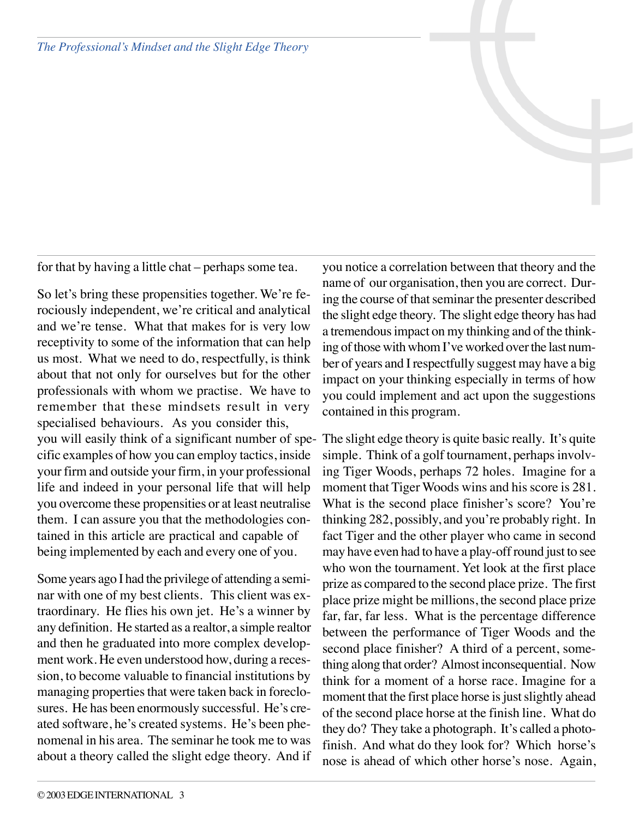*The Professional's Mindset and the Slight Edge Theory*

for that by having a little chat – perhaps some tea.

So let's bring these propensities together. We're ferociously independent, we're critical and analytical and we're tense. What that makes for is very low receptivity to some of the information that can help us most. What we need to do, respectfully, is think about that not only for ourselves but for the other professionals with whom we practise. We have to remember that these mindsets result in very specialised behaviours. As you consider this, you will easily think of a significant number of specific examples of how you can employ tactics, inside your firm and outside your firm, in your professional life and indeed in your personal life that will help you overcome these propensities or at least neutralise them. I can assure you that the methodologies contained in this article are practical and capable of being implemented by each and every one of you.

Some years ago I had the privilege of attending a seminar with one of my best clients. This client was extraordinary. He flies his own jet. He's a winner by any definition. He started as a realtor, a simple realtor and then he graduated into more complex development work. He even understood how, during a recession, to become valuable to financial institutions by managing properties that were taken back in foreclosures. He has been enormously successful. He's created software, he's created systems. He's been phenomenal in his area. The seminar he took me to was about a theory called the slight edge theory. And if

you notice a correlation between that theory and the name of our organisation, then you are correct. During the course of that seminar the presenter described the slight edge theory. The slight edge theory has had a tremendous impact on my thinking and of the thinking of those with whom I've worked over the last number of years and I respectfully suggest may have a big impact on your thinking especially in terms of how you could implement and act upon the suggestions contained in this program.

The slight edge theory is quite basic really. It's quite simple. Think of a golf tournament, perhaps involving Tiger Woods, perhaps 72 holes. Imagine for a moment that Tiger Woods wins and his score is 281. What is the second place finisher's score? You're thinking 282, possibly, and you're probably right. In fact Tiger and the other player who came in second may have even had to have a play-off round just to see who won the tournament. Yet look at the first place prize as compared to the second place prize. The first place prize might be millions, the second place prize far, far, far less. What is the percentage difference between the performance of Tiger Woods and the second place finisher? A third of a percent, something along that order? Almost inconsequential. Now think for a moment of a horse race. Imagine for a moment that the first place horse is just slightly ahead of the second place horse at the finish line. What do they do? They take a photograph. It's called a photofinish. And what do they look for? Which horse's nose is ahead of which other horse's nose. Again,